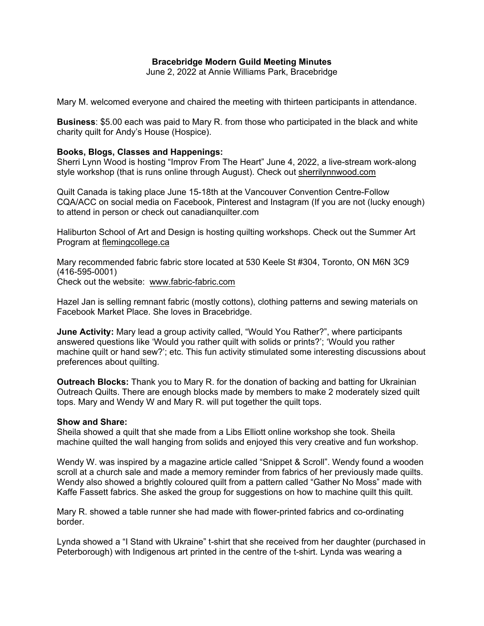## **Bracebridge Modern Guild Meeting Minutes**

June 2, 2022 at Annie Williams Park, Bracebridge

Mary M. welcomed everyone and chaired the meeting with thirteen participants in attendance.

**Business**: \$5.00 each was paid to Mary R. from those who participated in the black and white charity quilt for Andy's House (Hospice).

## **Books, Blogs, Classes and Happenings:**

Sherri Lynn Wood is hosting "Improv From The Heart" June 4, 2022, a live-stream work-along style workshop (that is runs online through August). Check out sherrilynnwood.com

Quilt Canada is taking place June 15-18th at the Vancouver Convention Centre-Follow CQA/ACC on social media on Facebook, Pinterest and Instagram (If you are not (lucky enough) to attend in person or check out canadianquilter.com

Haliburton School of Art and Design is hosting quilting workshops. Check out the Summer Art Program at flemingcollege.ca

Mary recommended fabric fabric store located at 530 Keele St #304, Toronto, ON M6N 3C9 (416-595-0001) Check out the website: www.fabric-fabric.com

Hazel Jan is selling remnant fabric (mostly cottons), clothing patterns and sewing materials on Facebook Market Place. She loves in Bracebridge.

**June Activity:** Mary lead a group activity called, "Would You Rather?", where participants answered questions like 'Would you rather quilt with solids or prints?'; 'Would you rather machine quilt or hand sew?'; etc. This fun activity stimulated some interesting discussions about preferences about quilting.

**Outreach Blocks:** Thank you to Mary R. for the donation of backing and batting for Ukrainian Outreach Quilts. There are enough blocks made by members to make 2 moderately sized quilt tops. Mary and Wendy W and Mary R. will put together the quilt tops.

## **Show and Share:**

Sheila showed a quilt that she made from a Libs Elliott online workshop she took. Sheila machine quilted the wall hanging from solids and enjoyed this very creative and fun workshop.

Wendy W. was inspired by a magazine article called "Snippet & Scroll". Wendy found a wooden scroll at a church sale and made a memory reminder from fabrics of her previously made quilts. Wendy also showed a brightly coloured quilt from a pattern called "Gather No Moss" made with Kaffe Fassett fabrics. She asked the group for suggestions on how to machine quilt this quilt.

Mary R. showed a table runner she had made with flower-printed fabrics and co-ordinating border.

Lynda showed a "I Stand with Ukraine" t-shirt that she received from her daughter (purchased in Peterborough) with Indigenous art printed in the centre of the t-shirt. Lynda was wearing a